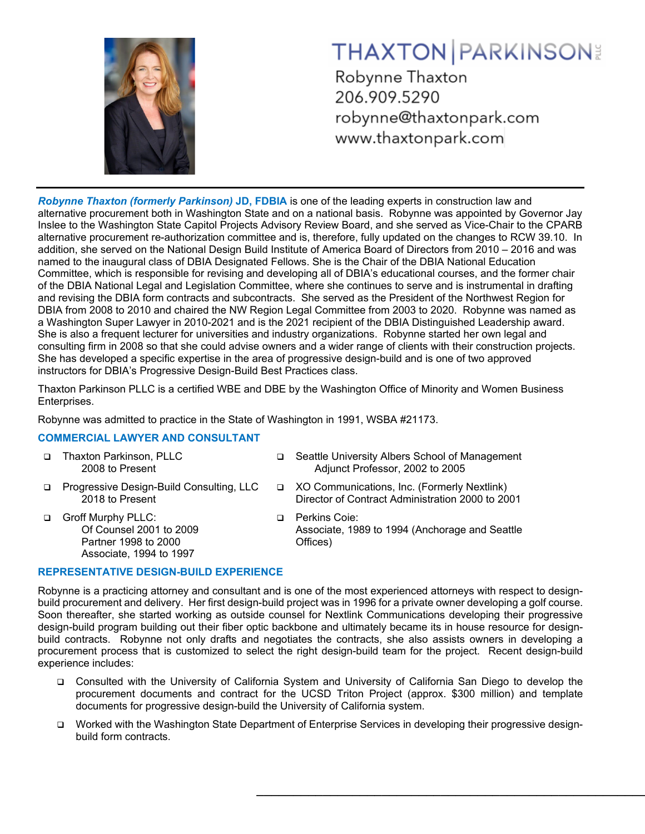

# **THAXTON PARKINSON**

Robynne Thaxton 206.909.5290 robynne@thaxtonpark.com www.thaxtonpark.com

*Robynne Thaxton (formerly Parkinson)* **JD, FDBIA** is one of the leading experts in construction law and alternative procurement both in Washington State and on a national basis. Robynne was appointed by Governor Jay Inslee to the Washington State Capitol Projects Advisory Review Board, and she served as Vice-Chair to the CPARB alternative procurement re-authorization committee and is, therefore, fully updated on the changes to RCW 39.10. In addition, she served on the National Design Build Institute of America Board of Directors from 2010 – 2016 and was named to the inaugural class of DBIA Designated Fellows. She is the Chair of the DBIA National Education Committee, which is responsible for revising and developing all of DBIA's educational courses, and the former chair of the DBIA National Legal and Legislation Committee, where she continues to serve and is instrumental in drafting and revising the DBIA form contracts and subcontracts. She served as the President of the Northwest Region for DBIA from 2008 to 2010 and chaired the NW Region Legal Committee from 2003 to 2020. Robynne was named as a Washington Super Lawyer in 2010-2021 and is the 2021 recipient of the DBIA Distinguished Leadership award. She is also a frequent lecturer for universities and industry organizations. Robynne started her own legal and consulting firm in 2008 so that she could advise owners and a wider range of clients with their construction projects. She has developed a specific expertise in the area of progressive design-build and is one of two approved instructors for DBIA's Progressive Design-Build Best Practices class.

Thaxton Parkinson PLLC is a certified WBE and DBE by the Washington Office of Minority and Women Business Enterprises.

Robynne was admitted to practice in the State of Washington in 1991, WSBA #21173.

# **COMMERCIAL LAWYER AND CONSULTANT**

- Thaxton Parkinson, PLLC 2008 to Present
- □ Progressive Design-Build Consulting, LLC 2018 to Present
- Groff Murphy PLLC: Of Counsel 2001 to 2009 Partner 1998 to 2000 Associate, 1994 to 1997
- □ Seattle University Albers School of Management Adjunct Professor, 2002 to 2005
- XO Communications, Inc. (Formerly Nextlink) Director of Contract Administration 2000 to 2001
- **D** Perkins Coie: Associate, 1989 to 1994 (Anchorage and Seattle Offices)

**\_\_\_\_\_\_\_\_\_\_\_\_\_\_\_\_\_\_\_\_\_\_\_\_\_\_\_\_\_\_\_\_\_\_\_\_\_\_\_\_\_\_\_\_\_\_\_\_\_\_\_\_\_**

## **REPRESENTATIVE DESIGN-BUILD EXPERIENCE**

Robynne is a practicing attorney and consultant and is one of the most experienced attorneys with respect to designbuild procurement and delivery. Her first design-build project was in 1996 for a private owner developing a golf course. Soon thereafter, she started working as outside counsel for Nextlink Communications developing their progressive design-build program building out their fiber optic backbone and ultimately became its in house resource for designbuild contracts. Robynne not only drafts and negotiates the contracts, she also assists owners in developing a procurement process that is customized to select the right design-build team for the project. Recent design-build experience includes:

- Consulted with the University of California System and University of California San Diego to develop the procurement documents and contract for the UCSD Triton Project (approx. \$300 million) and template documents for progressive design-build the University of California system.
- Worked with the Washington State Department of Enterprise Services in developing their progressive designbuild form contracts.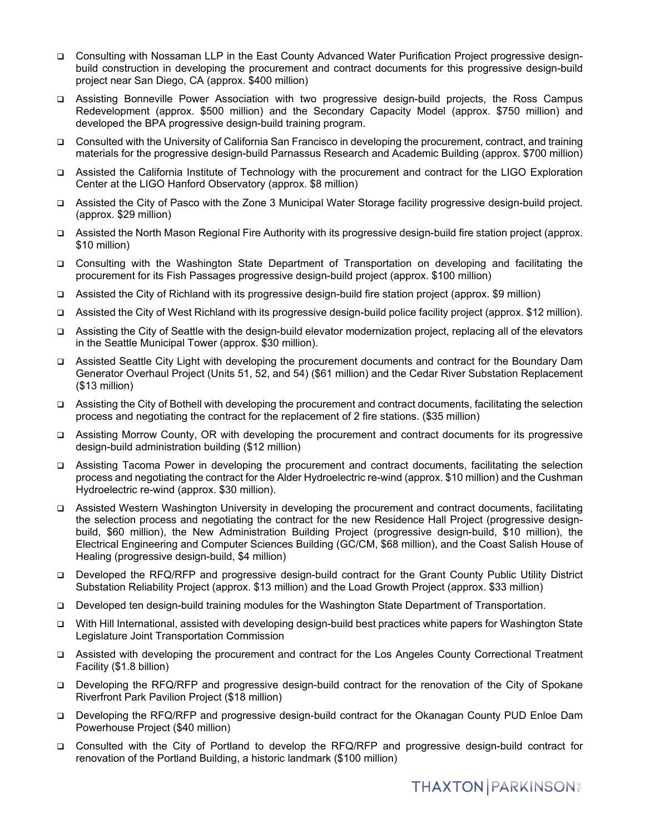- Consulting with Nossaman LLP in the East County Advanced Water Purification Project progressive designbuild construction in developing the procurement and contract documents for this progressive design-build project near San Diego, CA (approx. \$400 million)
- Assisting Bonneville Power Association with two progressive design-build projects, the Ross Campus Redevelopment (approx. \$500 million) and the Secondary Capacity Model (approx. \$750 million) and developed the BPA progressive design-build training program.
- Consulted with the University of California San Francisco in developing the procurement, contract, and training materials for the progressive design-build Parnassus Research and Academic Building (approx. \$700 million)
- Assisted the California Institute of Technology with the procurement and contract for the LIGO Exploration Center at the LIGO Hanford Observatory (approx. \$8 million)
- Assisted the City of Pasco with the Zone 3 Municipal Water Storage facility progressive design-build project. (approx. \$29 million)
- Assisted the North Mason Regional Fire Authority with its progressive design-build fire station project (approx. \$10 million)
- Consulting with the Washington State Department of Transportation on developing and facilitating the procurement for its Fish Passages progressive design-build project (approx. \$100 million)
- Assisted the City of Richland with its progressive design-build fire station project (approx. \$9 million)
- Assisted the City of West Richland with its progressive design-build police facility project (approx. \$12 million).
- Assisting the City of Seattle with the design-build elevator modernization project, replacing all of the elevators in the Seattle Municipal Tower (approx. \$30 million).
- Assisted Seattle City Light with developing the procurement documents and contract for the Boundary Dam Generator Overhaul Project (Units 51, 52, and 54) (\$61 million) and the Cedar River Substation Replacement (\$13 million)
- Assisting the City of Bothell with developing the procurement and contract documents, facilitating the selection process and negotiating the contract for the replacement of 2 fire stations. (\$35 million)
- Assisting Morrow County, OR with developing the procurement and contract documents for its progressive design-build administration building (\$12 million)
- Assisting Tacoma Power in developing the procurement and contract documents, facilitating the selection process and negotiating the contract for the Alder Hydroelectric re-wind (approx. \$10 million) and the Cushman Hydroelectric re-wind (approx. \$30 million).
- Assisted Western Washington University in developing the procurement and contract documents, facilitating the selection process and negotiating the contract for the new Residence Hall Project (progressive designbuild, \$60 million), the New Administration Building Project (progressive design-build, \$10 million), the Electrical Engineering and Computer Sciences Building (GC/CM, \$68 million), and the Coast Salish House of Healing (progressive design-build, \$4 million)
- Developed the RFQ/RFP and progressive design-build contract for the Grant County Public Utility District Substation Reliability Project (approx. \$13 million) and the Load Growth Project (approx. \$33 million)
- Developed ten design-build training modules for the Washington State Department of Transportation.
- With Hill International, assisted with developing design-build best practices white papers for Washington State Legislature Joint Transportation Commission
- Assisted with developing the procurement and contract for the Los Angeles County Correctional Treatment Facility (\$1.8 billion)
- Developing the RFQ/RFP and progressive design-build contract for the renovation of the City of Spokane Riverfront Park Pavilion Project (\$18 million)
- Developing the RFQ/RFP and progressive design-build contract for the Okanagan County PUD Enloe Dam Powerhouse Project (\$40 million)
- □ Consulted with the City of Portland to develop the RFQ/RFP and progressive design-build contract for renovation of the Portland Building, a historic landmark (\$100 million)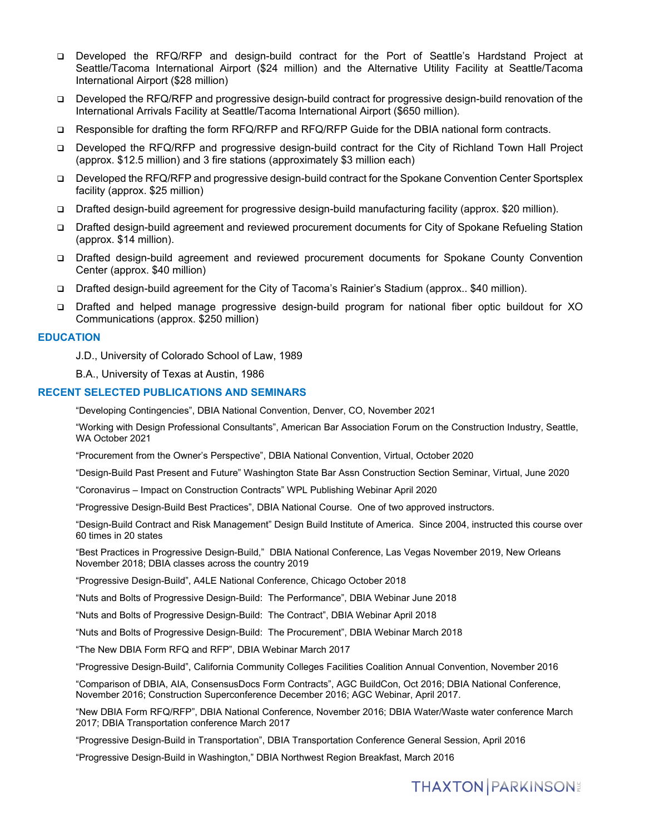- Developed the RFQ/RFP and design-build contract for the Port of Seattle's Hardstand Project at Seattle/Tacoma International Airport (\$24 million) and the Alternative Utility Facility at Seattle/Tacoma International Airport (\$28 million)
- Developed the RFQ/RFP and progressive design-build contract for progressive design-build renovation of the International Arrivals Facility at Seattle/Tacoma International Airport (\$650 million).
- Responsible for drafting the form RFQ/RFP and RFQ/RFP Guide for the DBIA national form contracts.
- Developed the RFQ/RFP and progressive design-build contract for the City of Richland Town Hall Project (approx. \$12.5 million) and 3 fire stations (approximately \$3 million each)
- Developed the RFQ/RFP and progressive design-build contract for the Spokane Convention Center Sportsplex facility (approx. \$25 million)
- Drafted design-build agreement for progressive design-build manufacturing facility (approx. \$20 million).
- Drafted design-build agreement and reviewed procurement documents for City of Spokane Refueling Station (approx. \$14 million).
- Drafted design-build agreement and reviewed procurement documents for Spokane County Convention Center (approx. \$40 million)
- Drafted design-build agreement for the City of Tacoma's Rainier's Stadium (approx.. \$40 million).
- Drafted and helped manage progressive design-build program for national fiber optic buildout for XO Communications (approx. \$250 million)

### **EDUCATION**

J.D., University of Colorado School of Law, 1989

B.A., University of Texas at Austin, 1986

### **RECENT SELECTED PUBLICATIONS AND SEMINARS**

"Developing Contingencies", DBIA National Convention, Denver, CO, November 2021

"Working with Design Professional Consultants", American Bar Association Forum on the Construction Industry, Seattle, WA October 2021

"Procurement from the Owner's Perspective", DBIA National Convention, Virtual, October 2020

"Design-Build Past Present and Future" Washington State Bar Assn Construction Section Seminar, Virtual, June 2020

"Coronavirus – Impact on Construction Contracts" WPL Publishing Webinar April 2020

"Progressive Design-Build Best Practices", DBIA National Course. One of two approved instructors.

"Design-Build Contract and Risk Management" Design Build Institute of America. Since 2004, instructed this course over 60 times in 20 states

"Best Practices in Progressive Design-Build," DBIA National Conference, Las Vegas November 2019, New Orleans November 2018; DBIA classes across the country 2019

"Progressive Design-Build", A4LE National Conference, Chicago October 2018

"Nuts and Bolts of Progressive Design-Build: The Performance", DBIA Webinar June 2018

"Nuts and Bolts of Progressive Design-Build: The Contract", DBIA Webinar April 2018

"Nuts and Bolts of Progressive Design-Build: The Procurement", DBIA Webinar March 2018

"The New DBIA Form RFQ and RFP", DBIA Webinar March 2017

"Progressive Design-Build", California Community Colleges Facilities Coalition Annual Convention, November 2016

"Comparison of DBIA, AIA, ConsensusDocs Form Contracts", AGC BuildCon, Oct 2016; DBIA National Conference, November 2016; Construction Superconference December 2016; AGC Webinar, April 2017.

"New DBIA Form RFQ/RFP", DBIA National Conference, November 2016; DBIA Water/Waste water conference March 2017; DBIA Transportation conference March 2017

"Progressive Design-Build in Transportation", DBIA Transportation Conference General Session, April 2016

"Progressive Design-Build in Washington," DBIA Northwest Region Breakfast, March 2016